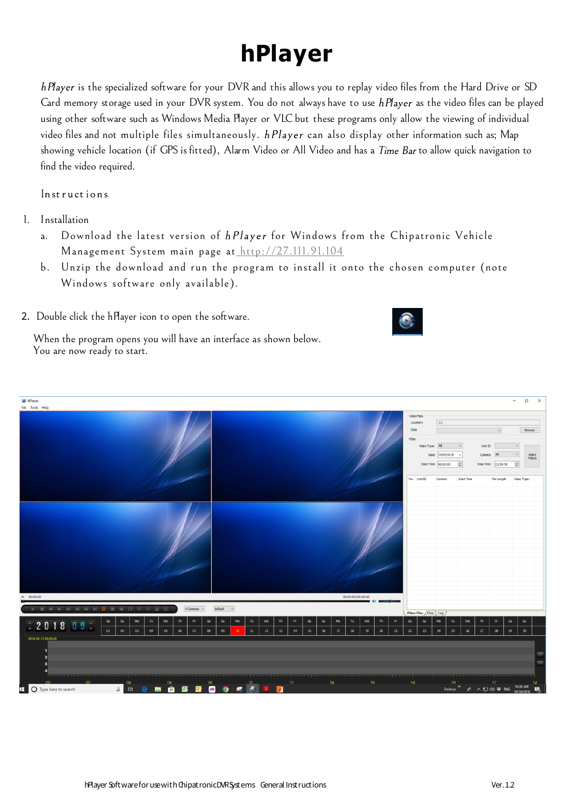## **hPlayer**

h Player is the specialized software for your DVR and this allows you to replay video files from the Hard Drive or SD Card memory storage used in your DVR system. You do not always have to use hPlayer as the video files can be played using other software such as Windows Media Player or VLC but these programs only allow the viewing of individual video files and not multiple files simultaneously. hPlayer can also display other information such as; Map showing vehicle location (if GPS is fitted), Alarm Video or All Video and has a Time Bar to allow quick navigation to find the video required.

Instructions

- 1. Installation
	- a. Download the latest version of hPlayer for Windows from the Chipatronic Vehicle Management System main page at<http://27.111.91.104>
	- b. Unzip the download and run the program to install it onto the chosen computer (note Windows software only available).
- 2. Double click the hPlayer icon to open the software.



When the program opens you will have an interface as shown below. You are now ready to start.

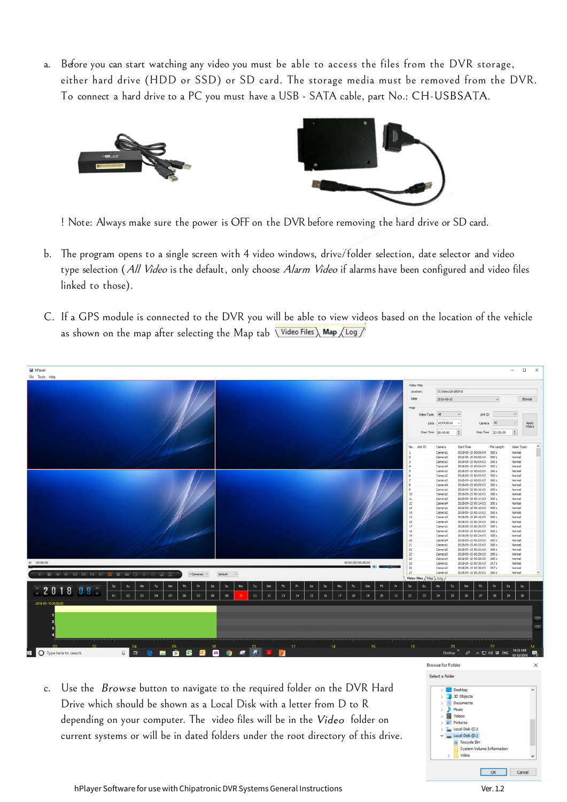a. Before you can start watching any video you must be able to access the files from the DVR storage, either hard drive (HDD or SSD) or SD card. The storage media must be removed from the DVR. To connect a hard drive to a PC you must have a USB - SATA cable, part No.: CH-USBSATA.





! Note: Always make sure the power is OFF on the DVR before removing the hard drive or SD card.

- b. The program opens to a single screen with 4 video windows, drive/folder selection, date selector and video type selection (All Video is the default, only choose Alarm Video if alarms have been configured and video files linked to those).
- C. If a GPS module is connected to the DVR you will be able to view videos based on the location of the vehicle as shown on the map after selecting the Map tab  $\overline{\widehat{\mathsf{V}}$  Video Files  $\overline{\widehat{\mathsf{N}}}$  Map  $\overline{\mathsf{A}}$  Log  $\overline{\mathsf{V}}$



c. Use the *Browse* button to navigate to the required folder on the DVR Hard Drive which should be shown as a Local Disk with a letter from D to R depending on your computer. The video files will be in the Video folder on current systems or will be in dated folders under the root directory of this drive.